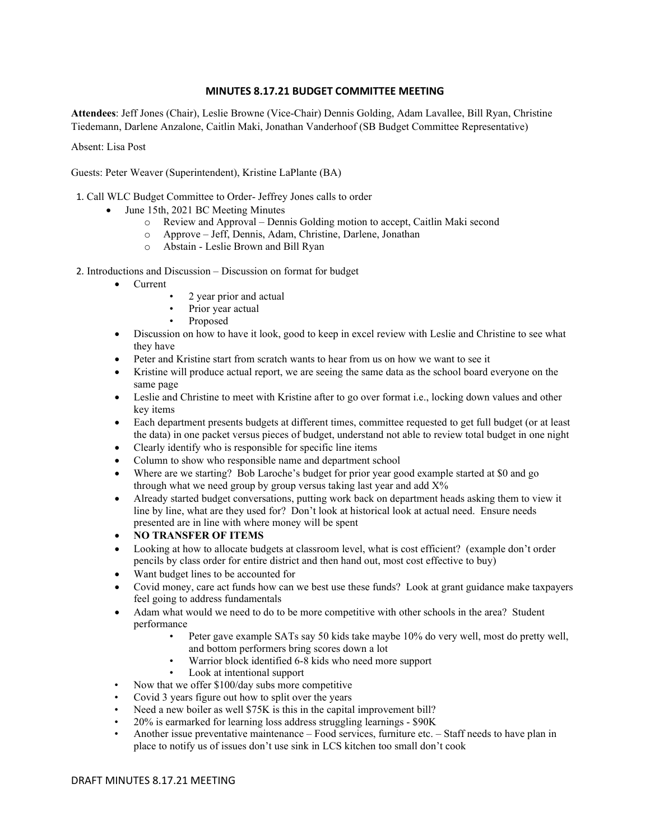## **MINUTES 8.17.21 BUDGET COMMITTEE MEETING**

**Attendees**: Jeff Jones (Chair), Leslie Browne (Vice-Chair) Dennis Golding, Adam Lavallee, Bill Ryan, Christine Tiedemann, Darlene Anzalone, Caitlin Maki, Jonathan Vanderhoof (SB Budget Committee Representative)

Absent: Lisa Post

Guests: Peter Weaver (Superintendent), Kristine LaPlante (BA)

1. Call WLC Budget Committee to Order- Jeffrey Jones calls to order

- June 15th, 2021 BC Meeting Minutes
	- o Review and Approval Dennis Golding motion to accept, Caitlin Maki second
	- o Approve Jeff, Dennis, Adam, Christine, Darlene, Jonathan
	- o Abstain Leslie Brown and Bill Ryan
- 2. Introductions and Discussion Discussion on format for budget
	- Current
		- 2 year prior and actual
		- Prior year actual
		- Proposed
	- Discussion on how to have it look, good to keep in excel review with Leslie and Christine to see what they have
	- Peter and Kristine start from scratch wants to hear from us on how we want to see it
	- Kristine will produce actual report, we are seeing the same data as the school board everyone on the same page
	- Leslie and Christine to meet with Kristine after to go over format i.e., locking down values and other key items
	- Each department presents budgets at different times, committee requested to get full budget (or at least the data) in one packet versus pieces of budget, understand not able to review total budget in one night
	- Clearly identify who is responsible for specific line items
	- Column to show who responsible name and department school
	- Where are we starting? Bob Laroche's budget for prior year good example started at \$0 and go through what we need group by group versus taking last year and add  $X\%$
	- Already started budget conversations, putting work back on department heads asking them to view it line by line, what are they used for? Don't look at historical look at actual need. Ensure needs presented are in line with where money will be spent
	- **NO TRANSFER OF ITEMS**
	- Looking at how to allocate budgets at classroom level, what is cost efficient? (example don't order pencils by class order for entire district and then hand out, most cost effective to buy)
	- Want budget lines to be accounted for
	- Covid money, care act funds how can we best use these funds? Look at grant guidance make taxpayers feel going to address fundamentals
	- Adam what would we need to do to be more competitive with other schools in the area? Student performance
		- Peter gave example SATs say 50 kids take maybe 10% do very well, most do pretty well, and bottom performers bring scores down a lot
		- Warrior block identified 6-8 kids who need more support
		- Look at intentional support
	- Now that we offer \$100/day subs more competitive
	- Covid 3 years figure out how to split over the years
	- Need a new boiler as well \$75K is this in the capital improvement bill?
	- 20% is earmarked for learning loss address struggling learnings \$90K
	- Another issue preventative maintenance Food services, furniture etc. Staff needs to have plan in place to notify us of issues don't use sink in LCS kitchen too small don't cook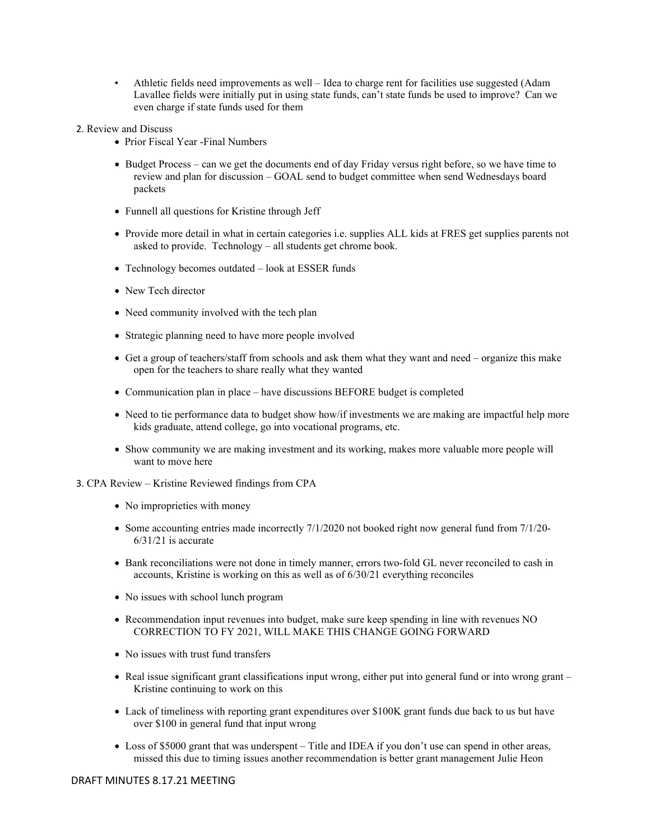- Athletic fields need improvements as well Idea to charge rent for facilities use suggested (Adam Lavallee fields were initially put in using state funds, can't state funds be used to improve? Can we even charge if state funds used for them
- 2. Review and Discuss
	- Prior Fiscal Year -Final Numbers
	- Budget Process can we get the documents end of day Friday versus right before, so we have time to review and plan for discussion – GOAL send to budget committee when send Wednesdays board packets
	- Funnell all questions for Kristine through Jeff
	- Provide more detail in what in certain categories i.e. supplies ALL kids at FRES get supplies parents not asked to provide. Technology – all students get chrome book.
	- Technology becomes outdated look at ESSER funds
	- New Tech director
	- Need community involved with the tech plan
	- Strategic planning need to have more people involved
	- Get a group of teachers/staff from schools and ask them what they want and need organize this make open for the teachers to share really what they wanted
	- Communication plan in place have discussions BEFORE budget is completed
	- Need to tie performance data to budget show how/if investments we are making are impactful help more kids graduate, attend college, go into vocational programs, etc.
	- Show community we are making investment and its working, makes more valuable more people will want to move here
- 3. CPA Review Kristine Reviewed findings from CPA
	- No improprieties with money
	- Some accounting entries made incorrectly 7/1/2020 not booked right now general fund from 7/1/20-6/31/21 is accurate
	- Bank reconciliations were not done in timely manner, errors two-fold GL never reconciled to cash in accounts, Kristine is working on this as well as of 6/30/21 everything reconciles
	- No issues with school lunch program
	- Recommendation input revenues into budget, make sure keep spending in line with revenues NO CORRECTION TO FY 2021, WILL MAKE THIS CHANGE GOING FORWARD
	- No issues with trust fund transfers
	- Real issue significant grant classifications input wrong, either put into general fund or into wrong grant Kristine continuing to work on this
	- Lack of timeliness with reporting grant expenditures over \$100K grant funds due back to us but have over \$100 in general fund that input wrong
	- Loss of \$5000 grant that was underspent Title and IDEA if you don't use can spend in other areas, missed this due to timing issues another recommendation is better grant management Julie Heon